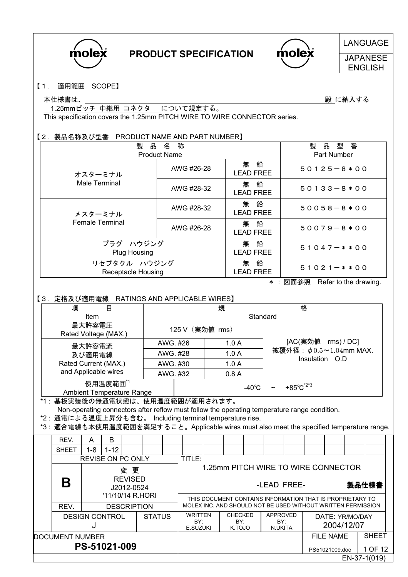

molex

## LANGUAGE

**JAPANESE** ENGLISH

#### 【1. 適用範囲 SCOPE】

本仕様書は、 いちのは、 のからの かんじょう かんしょう しゅうしょう かんしゅう かんきょう 殿 に納入する

1.25mmピッチ 中継用 コネクタ について規定する。 This specification covers the 1.25mm PITCH WIRE TO WIRE CONNECTOR series.

#### 【2.製品名称及び型番 PRODUCT NAME AND PART NUMBER】

| 製<br>品<br><b>Product Name</b>      | 製<br>品<br>型<br>番<br>Part Number |                             |                  |
|------------------------------------|---------------------------------|-----------------------------|------------------|
| オスターミナル                            | AWG #26-28                      | 鉛<br>無<br><b>LEAD FREE</b>  | $50125 - 8*00$   |
| Male Terminal                      | AWG #28-32                      | 鉛<br>無<br><b>LEAD FREE</b>  | $50133 - 8*00$   |
| メスターミナル                            | AWG #28-32                      | 無<br>鉛<br><b>LEAD FREE</b>  | $50058 - 8*00$   |
| <b>Female Terminal</b>             | AWG #26-28                      | 一鉛<br>無<br><b>LEAD FREE</b> | $50079 - 8*00$   |
| プラグ ハウジング<br>Plug Housing          |                                 | 鉛<br>無<br><b>LEAD FREE</b>  | $51047 - * * 00$ |
| リセプタクル ハウジング<br>Receptacle Housing |                                 | 鉛<br>無<br><b>LEAD FREE</b>  | $51021 - **00$   |

\* : 図面参照 Refer to the drawing.

#### 【3.定格及び適用電線 RATINGS AND APPLICABLE WIRES】

| 項<br>目                                       |          |                 | 規                | 格                                |
|----------------------------------------------|----------|-----------------|------------------|----------------------------------|
| ltem                                         |          |                 | Standard         |                                  |
| 最大許容電圧<br>Rated Voltage (MAX.)               |          | 125 V (実効値 rms) |                  |                                  |
| 最大許容電流                                       | AWG. #26 |                 | 1.0A             | [AC(実効値 rms) / DC]               |
| 及び適用電線                                       | AWG. #28 |                 | 1.0A             | 被覆外径: $\phi$ 0.5~1.04mm MAX.     |
| Rated Current (MAX.)                         | AWG. #30 |                 | 1.0A             | Insulation O.D                   |
| and Applicable wires                         | AWG. #32 |                 | 0.8A             |                                  |
| 使用温度範囲*1<br><b>Ambient Temperature Range</b> |          |                 | -40 $^{\circ}$ C | +85 $^{\circ}$ C <sup>*2*3</sup> |

\*1 : 基板実装後の無通電状態は、使用温度範囲が適用されます。

Non-operating connectors after reflow must follow the operating temperature range condition.

\*2 : 通電による温度上昇分も含む。 Including terminal temperature rise.

\*3 : 適合電線も本使用温度範囲を満足すること。Applicable wires must also meet the specified temperature range.

|                 | REV.                                   | A                            | B                        |                                   |  |                                 |                                     |                                                           |                                                              |                               |         |  |       |              |
|-----------------|----------------------------------------|------------------------------|--------------------------|-----------------------------------|--|---------------------------------|-------------------------------------|-----------------------------------------------------------|--------------------------------------------------------------|-------------------------------|---------|--|-------|--------------|
|                 | <b>SHEET</b>                           | $1 - 8$                      | $1 - 12$                 |                                   |  |                                 |                                     |                                                           |                                                              |                               |         |  |       |              |
|                 |                                        |                              | <b>REVISE ON PC ONLY</b> |                                   |  |                                 | TITLE:                              |                                                           |                                                              |                               |         |  |       |              |
|                 | 変 更                                    |                              |                          |                                   |  |                                 | 1.25mm PITCH WIRE TO WIRE CONNECTOR |                                                           |                                                              |                               |         |  |       |              |
|                 | B                                      | <b>REVISED</b><br>J2012-0524 |                          |                                   |  |                                 |                                     |                                                           |                                                              | -LEAD FREE-                   |         |  | 製品仕様書 |              |
|                 |                                        | '11/10/14 R.HORI             |                          |                                   |  |                                 |                                     | THIS DOCUMENT CONTAINS INFORMATION THAT IS PROPRIETARY TO |                                                              |                               |         |  |       |              |
|                 | REV.                                   |                              |                          | <b>DESCRIPTION</b>                |  |                                 |                                     |                                                           | MOLEX INC. AND SHOULD NOT BE USED WITHOUT WRITTEN PERMISSION |                               |         |  |       |              |
|                 | <b>STATUS</b><br><b>DESIGN CONTROL</b> |                              |                          | <b>WRITTEN</b><br>BY:<br>E.SUZUKI |  | <b>CHECKED</b><br>BY:<br>K.TOJO |                                     | APPROVED<br>BY:<br>N.UKITA                                |                                                              | DATE: YR/MO/DAY<br>2004/12/07 |         |  |       |              |
| DOCUMENT NUMBER |                                        |                              |                          |                                   |  |                                 |                                     |                                                           | FILE NAME                                                    | <b>SHEET</b>                  |         |  |       |              |
| PS-51021-009    |                                        |                              |                          |                                   |  |                                 |                                     |                                                           |                                                              | PS51021009.doc                | 1 OF 12 |  |       |              |
|                 |                                        |                              |                          |                                   |  |                                 |                                     |                                                           |                                                              |                               |         |  |       | EN-37-1(019) |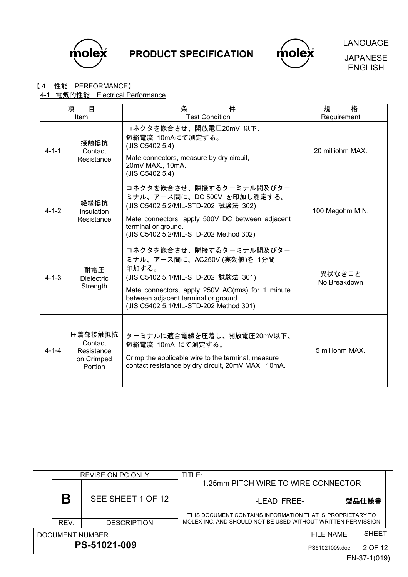



LANGUAGE

**JAPANESE** ENGLISH

#### 【4.性能 PERFORMANCE】

#### 4-1. 電気的性能 Electrical Performance

|             | 目<br>項<br>Item                                            | 件<br>条<br><b>Test Condition</b>                                                                                                                                                                                                               | 格<br>規<br>Requirement  |
|-------------|-----------------------------------------------------------|-----------------------------------------------------------------------------------------------------------------------------------------------------------------------------------------------------------------------------------------------|------------------------|
| $4 - 1 - 1$ | 接触抵抗<br>Contact<br>Resistance                             | コネクタを嵌合させ、開放電圧20mV 以下、<br>短絡電流 10mAにて測定する。<br>(JIS C5402 5.4)<br>Mate connectors, measure by dry circuit,<br>20mV MAX., 10mA.<br>(JIS C5402 5.4)                                                                                              | 20 milliohm MAX.       |
| $4 - 1 - 2$ | 絶縁抵抗<br>Insulation<br>Resistance                          | コネクタを嵌合させ、隣接するターミナル間及びター<br>ミナル、アース間に、DC 500V を印加し測定する。<br>(JIS C5402 5.2/MIL-STD-202 試験法 302)<br>Mate connectors, apply 500V DC between adjacent<br>terminal or ground.<br>(JIS C5402 5.2/MIL-STD-202 Method 302)                            | 100 Megohm MIN.        |
| $4 - 1 - 3$ | 耐電圧<br><b>Dielectric</b><br>Strength                      | コネクタを嵌合させ、隣接するターミナル間及びター<br>ミナル、アース間に、AC250V (実効値)を 1分間<br>印加する。<br>(JIS C5402 5.1/MIL-STD-202 試験法 301)<br>Mate connectors, apply 250V AC(rms) for 1 minute<br>between adjacent terminal or ground.<br>(JIS C5402 5.1/MIL-STD-202 Method 301) | 異状なきこと<br>No Breakdown |
| $4 - 1 - 4$ | 圧着部接触抵抗<br>Contact<br>Resistance<br>on Crimped<br>Portion | ターミナルに適合電線を圧着し、開放電圧20mV以下、<br>短絡電流 10mA にて測定する。<br>Crimp the applicable wire to the terminal, measure<br>contact resistance by dry circuit, 20mV MAX., 10mA.                                                                                  | 5 milliohm MAX.        |
|             |                                                           |                                                                                                                                                                                                                                               |                        |

|                 | <b>REVISE ON PC ONLY</b> | TITLE:                                                       |                |              |  |  |  |
|-----------------|--------------------------|--------------------------------------------------------------|----------------|--------------|--|--|--|
|                 |                          | 1.25mm PITCH WIRE TO WIRE CONNECTOR                          |                |              |  |  |  |
| B               | SEE SHEET 1 OF 12        | 製品仕様書<br>-LEAD FREE-                                         |                |              |  |  |  |
|                 |                          | THIS DOCUMENT CONTAINS INFORMATION THAT IS PROPRIETARY TO    |                |              |  |  |  |
| REV.            | <b>DESCRIPTION</b>       | MOLEX INC. AND SHOULD NOT BE USED WITHOUT WRITTEN PERMISSION |                |              |  |  |  |
| DOCUMENT NUMBER |                          |                                                              | FILE NAME      | <b>SHEET</b> |  |  |  |
|                 | PS-51021-009             |                                                              | PS51021009.doc | 2 OF 12      |  |  |  |
|                 |                          |                                                              |                | EN-37-1(019) |  |  |  |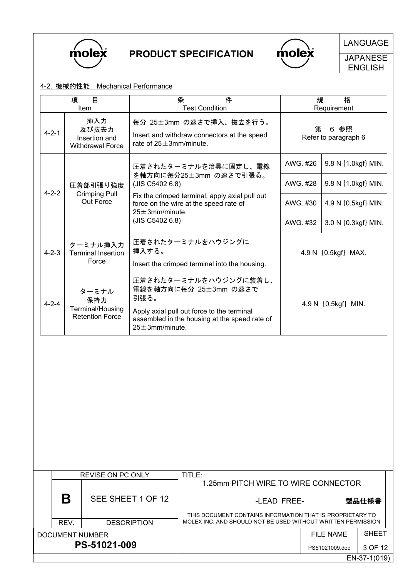

 $\bigwedge$  molex

LANGUAGE

**JAPANESE** ENGLISH

#### 4-2. 機械的性能 Mechanical Performance

|             | 項<br>目                                                     | 規                                                                                                                                                                              | 格        |                              |  |
|-------------|------------------------------------------------------------|--------------------------------------------------------------------------------------------------------------------------------------------------------------------------------|----------|------------------------------|--|
| Item        |                                                            | <b>Test Condition</b>                                                                                                                                                          |          | Requirement                  |  |
| $4 - 2 - 1$ | 挿入力<br>及び抜去力<br>Insertion and<br><b>Withdrawal Force</b>   | 毎分 25±3mm の速さで挿入、抜去を行う。<br>Insert and withdraw connectors at the speed<br>rate of $25 \pm 3$ mm/minute.                                                                        | 第        | 6 参照<br>Refer to paragraph 6 |  |
|             |                                                            | 圧着されたターミナルを治具に固定し、電線<br>を軸方向に毎分25±3mm の速さで引張る。                                                                                                                                 | AWG. #26 | 9.8 N {1.0kgf} MIN.          |  |
|             | 圧着部引張り強度                                                   | (JIS C5402 6.8)                                                                                                                                                                | AWG. #28 | 9.8 N {1.0kgf} MIN.          |  |
| $4 - 2 - 2$ | <b>Crimping Pull</b><br>Out Force                          | Fix the crimped terminal, apply axial pull out<br>force on the wire at the speed rate of<br>$25 \pm 3$ mm/minute.                                                              | AWG. #30 | 4.9 N {0.5kgf} MIN.          |  |
|             |                                                            | (JIS C5402 6.8)                                                                                                                                                                |          | 3.0 N {0.3kgf} MIN.          |  |
| $4 - 2 - 3$ | ターミナル挿入力<br><b>Terminal Insertion</b><br>Force             | 圧着されたターミナルをハウジングに<br>挿入する。                                                                                                                                                     |          | 4.9 N [0.5kgf] MAX.          |  |
|             |                                                            | Insert the crimped terminal into the housing.                                                                                                                                  |          |                              |  |
| $4 - 2 - 4$ | ターミナル<br>保持力<br>Terminal/Housing<br><b>Retention Force</b> | 圧着されたターミナルをハウジングに装着し、<br>電線を軸方向に毎分 25±3mm の速さで<br>引張る。<br>Apply axial pull out force to the terminal<br>assembled in the housing at the speed rate of<br>$25 \pm 3$ mm/minute. |          | 4.9 N [0.5kgf] MIN.          |  |
|             |                                                            |                                                                                                                                                                                |          |                              |  |

|                 | <b>REVISE ON PC ONLY</b>            | TITLE:                                                       |                |              |  |
|-----------------|-------------------------------------|--------------------------------------------------------------|----------------|--------------|--|
|                 | 1.25mm PITCH WIRE TO WIRE CONNECTOR |                                                              |                |              |  |
| Β               | SEE SHEET 1 OF 12                   | -LEAD FREE-                                                  |                | 製品仕様書        |  |
|                 |                                     | THIS DOCUMENT CONTAINS INFORMATION THAT IS PROPRIETARY TO    |                |              |  |
| REV.            | <b>DESCRIPTION</b>                  | MOLEX INC. AND SHOULD NOT BE USED WITHOUT WRITTEN PERMISSION |                |              |  |
| DOCUMENT NUMBER |                                     |                                                              | FILE NAME      | <b>SHEET</b> |  |
|                 | PS-51021-009                        |                                                              | PS51021009.doc | 3 OF 12      |  |
|                 |                                     |                                                              |                | EN-37-1(019) |  |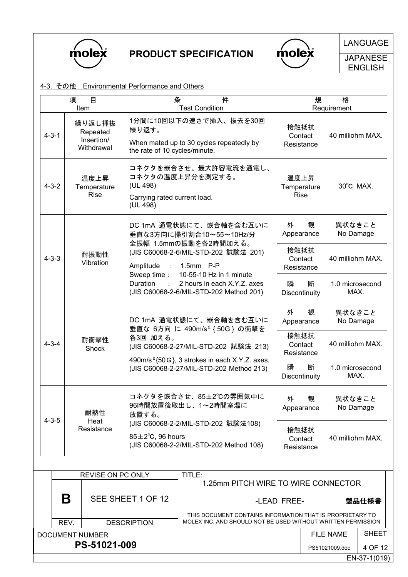

DOCUMENT NUMBER

PS-51021-009

PRODUCT SPECIFICATION

 $m$ ole $\mathbf{\hat{x}}$ 

THIS DOCUMENT CONTAINS INFORMATION THAT IS PROPRIETARY TO

FILE NAME PS51021009.doc SHEET

4 OF 12 EN-37-1(019)

LANGUAGE

**JAPANESE** ENGLISH

| 4-3. その他 Environmental Performance and Others |  |
|-----------------------------------------------|--|
|-----------------------------------------------|--|

|             | 目<br>項<br>Item                                                                              | 条                                                                                      | 件<br><b>Test Condition</b>                                                                                       | 規                                  | 格<br>Requirement        |
|-------------|---------------------------------------------------------------------------------------------|----------------------------------------------------------------------------------------|------------------------------------------------------------------------------------------------------------------|------------------------------------|-------------------------|
| $4 - 3 - 1$ | 繰り返し挿抜<br>Repeated<br>Insertion/<br>Withdrawal                                              | 繰り返す。<br>the rate of 10 cycles/minute.                                                 | 1分間に10回以下の速さで挿入、抜去を30回<br>When mated up to 30 cycles repeatedly by                                               | 接触抵抗<br>Contact<br>Resistance      | 40 milliohm MAX.        |
| $4 - 3 - 2$ | 温度上昇<br>Temperature<br><b>Rise</b>                                                          | (UL 498)<br>Carrying rated current load.<br>(UL 498)                                   | コネクタを嵌合させ、最大許容電流を通電し、<br>コネクタの温度上昇分を測定する。                                                                        | 温度上昇<br>Temperature<br><b>Rise</b> | 30°C MAX.               |
|             |                                                                                             |                                                                                        | DC 1mA 通電状態にて、嵌合軸を含む互いに<br>垂直な3方向に掃引割合10~55~10Hz/分                                                               | 外<br>観<br>Appearance               | 異状なきこと<br>No Damage     |
| $4 - 3 - 3$ | 耐振動性<br>Vibration                                                                           | 全振幅 1.5mmの振動を各2時間加える。<br>(JIS C60068-2-6/MIL-STD-202 試験法 201)<br>Amplitude : 1.5mm P-P |                                                                                                                  | 接触抵抗<br>Contact<br>Resistance      | 40 milliohm MAX.        |
|             | Sweep time:<br><b>Duration</b><br>$\mathbb{R}^n$<br>(JIS C60068-2-6/MIL-STD-202 Method 201) |                                                                                        | 10-55-10 Hz in 1 minute<br>2 hours in each X.Y.Z. axes                                                           | 瞬<br>断<br>Discontinuity            | 1.0 microsecond<br>MAX. |
|             |                                                                                             |                                                                                        | DC 1mA 通電状態にて、嵌合軸を含む互いに                                                                                          | 観<br>外<br>Appearance               | 異状なきこと<br>No Damage     |
| $4 - 3 - 4$ | 耐衝撃性<br>Shock                                                                               | 各3回加える。                                                                                | 垂直な 6方向 に 490m/s <sup>2</sup> { 50G } の衝撃を<br>(JIS C60068-2-27/MIL-STD-202 試験法 213)                              | 接触抵抗<br>Contact<br>Resistance      | 40 milliohm MAX.        |
|             |                                                                                             |                                                                                        | 490m/s <sup>2</sup> {50G}, 3 strokes in each X.Y.Z. axes.<br>(JIS C60068-2-27/MIL-STD-202 Method 213)            |                                    | 1.0 microsecond<br>MAX. |
| $4 - 3 - 5$ | 耐熱性<br>Heat                                                                                 | 放置する。                                                                                  | コネクタを嵌合させ、85±2℃の雰囲気中に<br>96時間放置後取出し、1~2時間室温に                                                                     | 外<br>観<br>Appearance               | 異状なきこと<br>No Damage     |
|             | Resistance                                                                                  |                                                                                        | (JIS C60068-2-2/MIL-STD-202 試験法108)<br>$85 \pm 2^{\circ}$ C, 96 hours<br>(JIS C60068-2-2/MIL-STD-202 Method 108) |                                    | 40 milliohm MAX.        |
|             |                                                                                             |                                                                                        |                                                                                                                  |                                    |                         |
|             | REVISE ON PC ONLY                                                                           |                                                                                        | TITLE:<br>1.25mm PITCH WIRE TO WIRE CONNECTOR                                                                    |                                    |                         |
|             | Β                                                                                           | SEE SHEET 1 OF 12                                                                      |                                                                                                                  | -LEAD FREE-                        | 製品仕様書                   |

REV. NET DESCRIPTION ROLEX INC. AND SHOULD NOT BE USED WITHOUT WRITTEN PERMISSION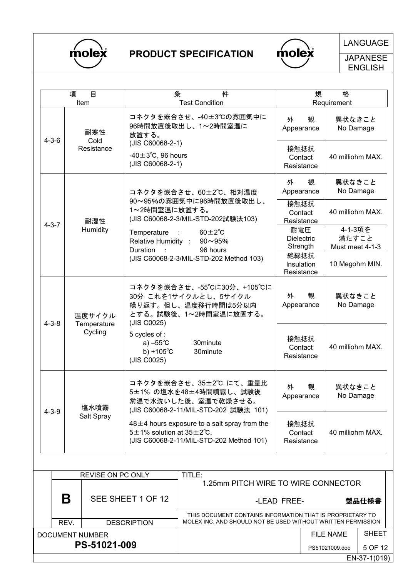

## PRODUCT SPECIFICATION



LANGUAGE

**JAPANESE** ENGLISH

|             | 目<br>項<br>Item              | 条                                                                                  | 件<br><b>Test Condition</b>                                                                                       | 規                                            | 格<br>Requirement                        |  |  |  |
|-------------|-----------------------------|------------------------------------------------------------------------------------|------------------------------------------------------------------------------------------------------------------|----------------------------------------------|-----------------------------------------|--|--|--|
| $4 - 3 - 6$ | 耐寒性<br>Cold<br>Resistance   | 放置する。<br>(JIS C60068-2-1)<br>$-40 \pm 3^{\circ}$ C, 96 hours                       | コネクタを嵌合させ、-40±3℃の雰囲気中に<br>96時間放置後取出し、1~2時間室温に                                                                    | 観<br>外<br>Appearance<br>接触抵抗<br>Contact      | 異状なきこと<br>No Damage<br>40 milliohm MAX. |  |  |  |
|             |                             | (JIS C60068-2-1)                                                                   |                                                                                                                  | Resistance<br>外<br>観                         | 異状なきこと                                  |  |  |  |
| 耐湿性         |                             | 1~2時間室温に放置する。                                                                      | コネクタを嵌合させ、60±2℃、相対温度<br>90~95%の雰囲気中に96時間放置後取出し、<br>(JIS C60068-2-3/MIL-STD-202試験法103)                            | Appearance<br>接触抵抗<br>Contact<br>Resistance  | No Damage<br>40 milliohm MAX.           |  |  |  |
| $4 - 3 - 7$ | Humidity                    | Temperature<br>$\mathbb{R}^2$<br>Relative Humidity :<br>Duration<br>$\sim 10^{-1}$ | $60 \pm 2^{\circ}$ C<br>$90 - 95%$<br>96 hours                                                                   | 耐電圧<br><b>Dielectric</b><br>Strength<br>絶縁抵抗 | 4-1-3項を<br>満たすこと<br>Must meet 4-1-3     |  |  |  |
|             |                             |                                                                                    | (JIS C60068-2-3/MIL-STD-202 Method 103)                                                                          | Insulation<br>Resistance                     | 10 Megohm MIN.                          |  |  |  |
| $4 - 3 - 8$ | 温度サイクル<br>Temperature       | (JIS C0025)                                                                        | コネクタを嵌合させ、-55℃に30分、+105℃に<br>30分 これを1サイクルとし、5サイクル<br>繰り返す。但し、温度移行時間は5分以内<br>とする。試験後、1~2時間室温に放置する。                | 外<br>観<br>Appearance                         | 異状なきこと<br>No Damage                     |  |  |  |
|             | Cycling                     | 5 cycles of :<br>a) $-55^{\circ}$ C<br>b) +105 $^{\circ}$ C<br>(JIS C0025)         | 30minute<br>30minute                                                                                             | 接触抵抗<br>Contact<br>Resistance                | 40 milliohm MAX.                        |  |  |  |
| $4 - 3 - 9$ | 塩水噴霧<br>Salt Spray          |                                                                                    | コネクタを嵌合させ、35±2℃ にて、重量比<br>5±1% の塩水を48±4時間噴霧し、試験後<br>常温で水洗いした後、室温で乾燥させる。<br>(JIS C60068-2-11/MIL-STD-202 試験法 101) | 観<br>外<br>Appearance                         | 異状なきこと<br>No Damage                     |  |  |  |
|             |                             | $5\pm1\%$ solution at $35\pm2\degree$ C.                                           | $48 \pm 4$ hours exposure to a salt spray from the<br>(JIS C60068-2-11/MIL-STD-202 Method 101)                   | 接触抵抗<br>Contact<br>Resistance                | 40 milliohm MAX.                        |  |  |  |
|             | TITLE:<br>REVISE ON PC ONLY |                                                                                    |                                                                                                                  |                                              |                                         |  |  |  |
|             |                             |                                                                                    | 1.25mm PITCH WIRE TO WIRE CONNECTOR                                                                              |                                              |                                         |  |  |  |
|             | Β                           | SEE SHEET 1 OF 12                                                                  |                                                                                                                  | -LEAD FREE-                                  | 製品仕様書                                   |  |  |  |

|                 | <b>JEE JHEET TUE 14</b> | -LEAD FREE-<br>製品仕様書                                         |  |              |  |
|-----------------|-------------------------|--------------------------------------------------------------|--|--------------|--|
|                 |                         | THIS DOCUMENT CONTAINS INFORMATION THAT IS PROPRIETARY TO    |  |              |  |
| REV.            | <b>DESCRIPTION</b>      | MOLEX INC. AND SHOULD NOT BE USED WITHOUT WRITTEN PERMISSION |  |              |  |
| DOCUMENT NUMBER |                         | <b>SHEET</b><br>FILE NAME                                    |  |              |  |
|                 | PS-51021-009            | 5 OF 12<br>PS51021009.doc                                    |  |              |  |
|                 |                         |                                                              |  | EN-37-1(019) |  |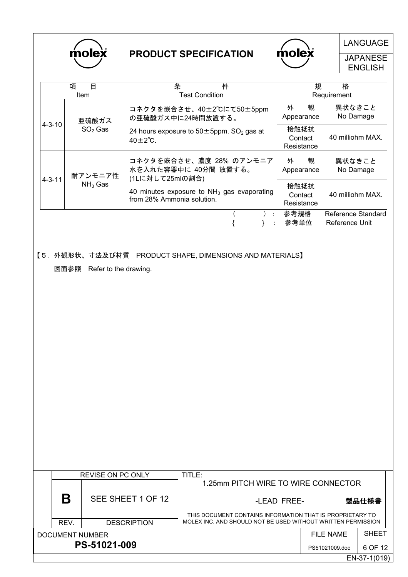



LANGUAGE

**JAPANESE** ENGLISH

|              | 項<br>目<br><b>Item</b> | 条<br>件<br><b>Test Condition</b>                                                    | 規                             | 格<br>Requirement                     |
|--------------|-----------------------|------------------------------------------------------------------------------------|-------------------------------|--------------------------------------|
|              | 亜硫酸ガス                 | コネクタを嵌合させ、40±2°Cにて50±5ppm<br>の亜硫酸ガス中に24時間放置する。                                     | 観<br>外<br>Appearance          | 異状なきこと<br>No Damage                  |
| $4 - 3 - 10$ | $SO2$ Gas             | 24 hours exposure to $50 \pm 5$ ppm. SO <sub>2</sub> gas at<br>$40\pm2^{\circ}$ C. | 接触抵抗<br>Contact<br>Resistance | 40 milliohm MAX.                     |
| $4 - 3 - 11$ | 耐アンモニア性               | コネクタを嵌合させ、濃度 28% のアンモニア<br>水を入れた容器中に 40分間 放置する。<br>(1Lに対して25mlの割合)                 | 観<br>外<br>Appearance          | 異状なきこと<br>No Damage                  |
|              | $NH3$ Gas             | 40 minutes exposure to $NH3$ gas evaporating<br>from 28% Ammonia solution.         | 接触抵抗<br>Contact<br>Resistance | 40 milliohm MAX.                     |
|              |                       |                                                                                    | 参考規格<br>参考単位                  | Reference Standard<br>Reference Unit |

【5.外観形状、寸法及び材質 PRODUCT SHAPE, DIMENSIONS AND MATERIALS】

図面参照 Refer to the drawing.

|                 | <b>REVISE ON PC ONLY</b> |                    | TITLE:                                                       |                |              |  |
|-----------------|--------------------------|--------------------|--------------------------------------------------------------|----------------|--------------|--|
|                 |                          | SEE SHEET 1 OF 12  | 1.25mm PITCH WIRE TO WIRE CONNECTOR                          |                |              |  |
|                 | B                        |                    | -LEAD FREE-                                                  |                | 製品仕様書        |  |
|                 |                          |                    | THIS DOCUMENT CONTAINS INFORMATION THAT IS PROPRIETARY TO    |                |              |  |
|                 | REV.                     | <b>DESCRIPTION</b> | MOLEX INC. AND SHOULD NOT BE USED WITHOUT WRITTEN PERMISSION |                |              |  |
| DOCUMENT NUMBER |                          |                    |                                                              | FILE NAME      | <b>SHEET</b> |  |
| PS-51021-009    |                          |                    |                                                              | PS51021009.doc | 6 OF 12      |  |
|                 |                          |                    |                                                              |                | EN-37-1(019) |  |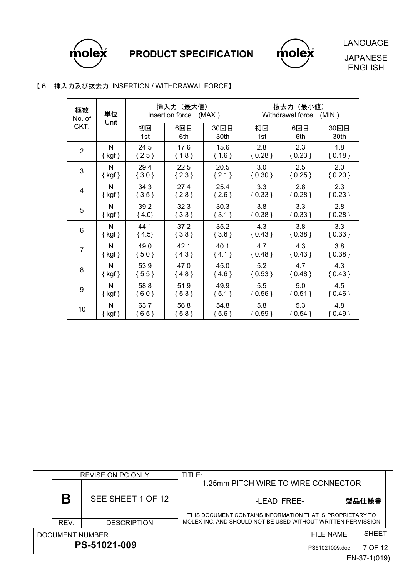

# PRODUCT SPECIFICATION



LANGUAGE

**JAPANESE** ENGLISH

### 【6.挿入力及び抜去力 INSERTION / WITHDRAWAL FORCE】

| 極数<br>No. of   | 単位                  | 挿入力 (最大値)<br>Insertion force<br>(MAX.) |            | 抜去力(最小値)<br>Withdrawal force<br>(MIN.) |           |            |              |
|----------------|---------------------|----------------------------------------|------------|----------------------------------------|-----------|------------|--------------|
| CKT.           | Unit                | 初回<br>1st                              | 6回目<br>6th | 30回目<br>30th                           | 初回<br>1st | 6回目<br>6th | 30回目<br>30th |
| $\overline{2}$ | N                   | 24.5                                   | 17.6       | 15.6                                   | 2.8       | 2.3        | 1.8          |
|                | $\{ \text{ kgf} \}$ | ${2.5}$                                | ${1.8}$    | ${1.6}$                                | ${0.28}$  | ${0.23}$   | ${0.18}$     |
| 3              | N                   | 29.4                                   | 22.5       | 20.5                                   | 3.0       | 2.5        | 2.0          |
|                | $\{ kgf\}$          | ${3.0}$                                | $\{2.3\}$  | ${2.1}$                                | ${0.30}$  | ${0.25}$   | ${0.20}$     |
| 4              | N                   | 34.3                                   | 27.4       | 25.4                                   | 3.3       | 2.8        | 2.3          |
|                | $\{ kgf\}$          | ${3.5}$                                | ${2.8}$    | $\{2.6\}$                              | ${0.33}$  | ${0.28}$   | ${0.23}$     |
| 5              | N                   | 39.2                                   | 32.3       | 30.3                                   | 3.8       | 3.3        | 2.8          |
|                | $\{ \text{ kgf} \}$ | $\{4.0\}$                              | $\{3.3\}$  | ${3.1}$                                | ${0.38}$  | ${0.33}$   | ${0.28}$     |
| 6              | N                   | 44.1                                   | 37.2       | 35.2                                   | 4.3       | 3.8        | 3.3          |
|                | $\{ kgf \}$         | ${4.5}$                                | ${3.8}$    | ${3.6}$                                | ${0.43}$  | ${0.38}$   | ${0.33}$     |
| 7              | N                   | 49.0                                   | 42.1       | 40.1                                   | 4.7       | 4.3        | 3.8          |
|                | $\{ kgf\}$          | ${5.0}$                                | ${4.3}$    | ${4.1}$                                | ${0.48}$  | ${0.43}$   | ${0.38}$     |
| 8              | N                   | 53.9                                   | 47.0       | 45.0                                   | 5.2       | 4.7        | 4.3          |
|                | $\{ \text{ kgf} \}$ | ${5.5}$                                | ${4.8}$    | ${4.6}$                                | ${0.53}$  | ${0.48}$   | ${0.43}$     |
| 9              | N                   | 58.8                                   | 51.9       | 49.9                                   | 5.5       | 5.0        | 4.5          |
|                | $\{ \text{ kgf} \}$ | ${6.0}$                                | ${5.3}$    | ${5.1}$                                | ${0.56}$  | ${0.51}$   | ${0.46}$     |
| 10             | N                   | 63.7                                   | 56.8       | 54.8                                   | 5.8       | 5.3        | 4.8          |
|                | $\{ \text{ kgf} \}$ | ${6.5}$                                | ${5.8}$    | ${5.6}$                                | ${0.59}$  | ${0.54}$   | ${0.49}$     |

|  | <b>REVISE ON PC ONLY</b> |                    | TITLE:                                                       |                |              |  |  |
|--|--------------------------|--------------------|--------------------------------------------------------------|----------------|--------------|--|--|
|  | Β                        | SEE SHEET 1 OF 12  | 1.25mm PITCH WIRE TO WIRE CONNECTOR                          |                |              |  |  |
|  |                          |                    | -LEAD FREE-                                                  |                | 製品仕様書        |  |  |
|  |                          |                    | THIS DOCUMENT CONTAINS INFORMATION THAT IS PROPRIETARY TO    |                |              |  |  |
|  | REV.                     | <b>DESCRIPTION</b> | MOLEX INC. AND SHOULD NOT BE USED WITHOUT WRITTEN PERMISSION |                |              |  |  |
|  | DOCUMENT NUMBER          |                    |                                                              | FILE NAME      | <b>SHEET</b> |  |  |
|  |                          | PS-51021-009       |                                                              | PS51021009.doc | 7 OF 12      |  |  |
|  |                          |                    |                                                              |                | EN-37-1(019) |  |  |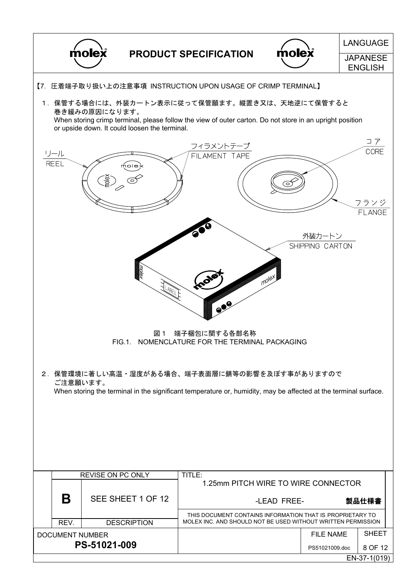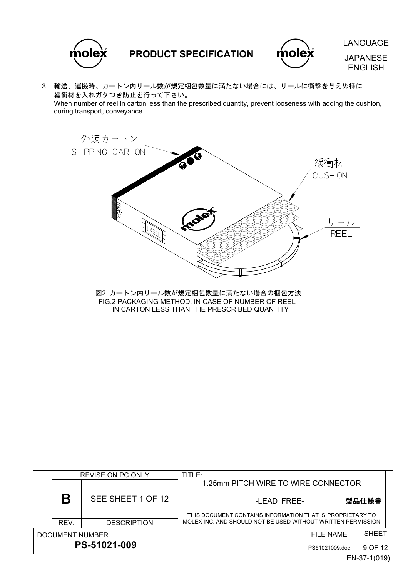|  | molex<br><b>PRODUCT SPECIFICATION</b> |                               |                      | <b>LANGUAGE</b>                                                                                                                                                 |                                   |                       |              |  |
|--|---------------------------------------|-------------------------------|----------------------|-----------------------------------------------------------------------------------------------------------------------------------------------------------------|-----------------------------------|-----------------------|--------------|--|
|  |                                       |                               | molex                |                                                                                                                                                                 | <b>JAPANESE</b><br><b>ENGLISH</b> |                       |              |  |
|  |                                       | during transport, conveyance. | 緩衝材を入れガタつき防止を行って下さい。 | 3. 輸送、運搬時、カートン内リール数が規定梱包数量に満たない場合には、リールに衝撃を与えぬ様に<br>When number of reel in carton less than the prescribed quantity, prevent looseness with adding the cushion, |                                   |                       |              |  |
|  |                                       | 外装カートン                        |                      |                                                                                                                                                                 |                                   |                       |              |  |
|  |                                       | SHIPPING CARTON               |                      |                                                                                                                                                                 |                                   | 緩衝材<br><b>CUSHION</b> |              |  |
|  |                                       |                               | <b>LABE</b>          |                                                                                                                                                                 |                                   |                       | リール<br>REEL  |  |
|  |                                       |                               |                      | 図2 カートン内リール数が規定梱包数量に満たない場合の梱包方法<br>FIG.2 PACKAGING METHOD, IN CASE OF NUMBER OF REEL<br>IN CARTON LESS THAN THE PRESCRIBED QUANTITY                             |                                   |                       |              |  |
|  |                                       |                               |                      |                                                                                                                                                                 |                                   |                       |              |  |
|  |                                       |                               |                      |                                                                                                                                                                 |                                   |                       |              |  |
|  |                                       |                               |                      |                                                                                                                                                                 |                                   |                       |              |  |
|  |                                       |                               |                      |                                                                                                                                                                 |                                   |                       |              |  |
|  |                                       | <b>REVISE ON PC ONLY</b>      |                      | TITLE:<br>1.25mm PITCH WIRE TO WIRE CONNECTOR                                                                                                                   |                                   |                       |              |  |
|  | B                                     |                               | SEE SHEET 1 OF 12    |                                                                                                                                                                 | -LEAD FREE-                       |                       | 製品仕様書        |  |
|  | REV.                                  |                               | <b>DESCRIPTION</b>   | THIS DOCUMENT CONTAINS INFORMATION THAT IS PROPRIETARY TO<br>MOLEX INC. AND SHOULD NOT BE USED WITHOUT WRITTEN PERMISSION                                       |                                   |                       |              |  |
|  | <b>DOCUMENT NUMBER</b>                |                               |                      |                                                                                                                                                                 |                                   | <b>FILE NAME</b>      | <b>SHEET</b> |  |
|  |                                       | PS-51021-009                  |                      |                                                                                                                                                                 |                                   | PS51021009.doc        | 9 OF 12      |  |
|  |                                       |                               |                      |                                                                                                                                                                 |                                   |                       | EN-37-1(019) |  |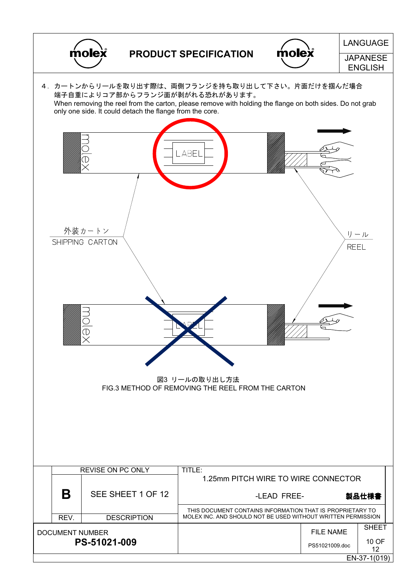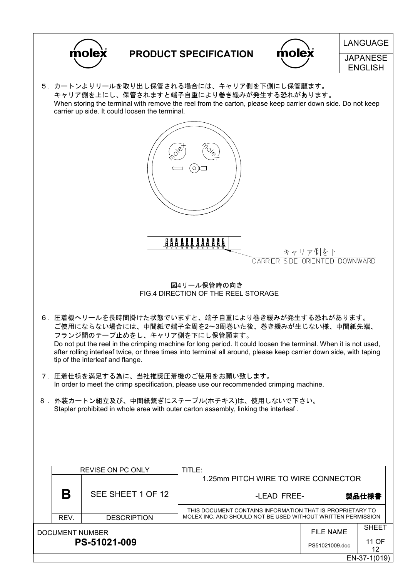| molex                                                                                                                                                                                                                                                                                                                                                                                                                                                                     |                              |                    |                                                                                                                           |                                   | <b>LANGUAGE</b>                           |                       |  |  |  |
|---------------------------------------------------------------------------------------------------------------------------------------------------------------------------------------------------------------------------------------------------------------------------------------------------------------------------------------------------------------------------------------------------------------------------------------------------------------------------|------------------------------|--------------------|---------------------------------------------------------------------------------------------------------------------------|-----------------------------------|-------------------------------------------|-----------------------|--|--|--|
|                                                                                                                                                                                                                                                                                                                                                                                                                                                                           | <b>PRODUCT SPECIFICATION</b> |                    | nolex                                                                                                                     | <b>JAPANESE</b><br><b>ENGLISH</b> |                                           |                       |  |  |  |
| 5.カートンよりリールを取り出し保管される場合には、キャリア側を下側にし保管願ます。<br>キャリア側を上にし、保管されますと端子自重により巻き緩みが発生する恐れがあります。<br>When storing the terminal with remove the reel from the carton, please keep carrier down side. Do not keep<br>carrier up side. It could loosen the terminal.                                                                                                                                                                                                                   |                              |                    |                                                                                                                           |                                   |                                           |                       |  |  |  |
| $\phi^{\Diamond}$                                                                                                                                                                                                                                                                                                                                                                                                                                                         |                              |                    |                                                                                                                           |                                   |                                           |                       |  |  |  |
|                                                                                                                                                                                                                                                                                                                                                                                                                                                                           |                              |                    |                                                                                                                           |                                   |                                           |                       |  |  |  |
|                                                                                                                                                                                                                                                                                                                                                                                                                                                                           |                              |                    |                                                                                                                           |                                   | キャリア側を下<br>CARRIER SIDE ORIENTED DOWNWARD |                       |  |  |  |
| 図4リール保管時の向き<br>FIG.4 DIRECTION OF THE REEL STORAGE<br>6. 圧着機ヘリールを長時間掛けた状態でいますと、端子自重により巻き緩みが発生する恐れがあります。<br>ご使用にならない場合には、中間紙で端子全周を2~3周巻いた後、巻き緩みが生じない様、中間紙先端、<br>フランジ間のテープ止めをし、キャリア側を下にし保管願ます。<br>Do not put the reel in the crimping machine for long period. It could loosen the terminal. When it is not used,<br>after rolling interleaf twice, or three times into terminal all around, please keep carrier down side, with taping<br>tip of the interleaf and flange. |                              |                    |                                                                                                                           |                                   |                                           |                       |  |  |  |
| 7.圧着仕様を満足する為に、当社推奨圧着機のご使用をお願い致します。<br>In order to meet the crimp specification, please use our recommended crimping machine.<br>8. 外装カートン組立及び、中間紙繋ぎにステープル(ホチキス)は、使用しないで下さい。<br>Stapler prohibited in whole area with outer carton assembly, linking the interleaf.                                                                                                                                                                                                        |                              |                    |                                                                                                                           |                                   |                                           |                       |  |  |  |
|                                                                                                                                                                                                                                                                                                                                                                                                                                                                           |                              |                    |                                                                                                                           |                                   |                                           |                       |  |  |  |
|                                                                                                                                                                                                                                                                                                                                                                                                                                                                           | REVISE ON PC ONLY            |                    | TITLE:<br>1.25mm PITCH WIRE TO WIRE CONNECTOR                                                                             |                                   |                                           |                       |  |  |  |
| Β<br>SEE SHEET 1 OF 12                                                                                                                                                                                                                                                                                                                                                                                                                                                    |                              |                    | -LEAD FREE-                                                                                                               |                                   | 製品仕様書                                     |                       |  |  |  |
| REV.                                                                                                                                                                                                                                                                                                                                                                                                                                                                      |                              | <b>DESCRIPTION</b> | THIS DOCUMENT CONTAINS INFORMATION THAT IS PROPRIETARY TO<br>MOLEX INC. AND SHOULD NOT BE USED WITHOUT WRITTEN PERMISSION |                                   |                                           |                       |  |  |  |
| <b>DOCUMENT NUMBER</b><br>PS-51021-009                                                                                                                                                                                                                                                                                                                                                                                                                                    |                              |                    |                                                                                                                           |                                   | <b>FILE NAME</b><br>PS51021009.doc        | <b>SHEET</b><br>11 OF |  |  |  |

EN-37-1(019)

12